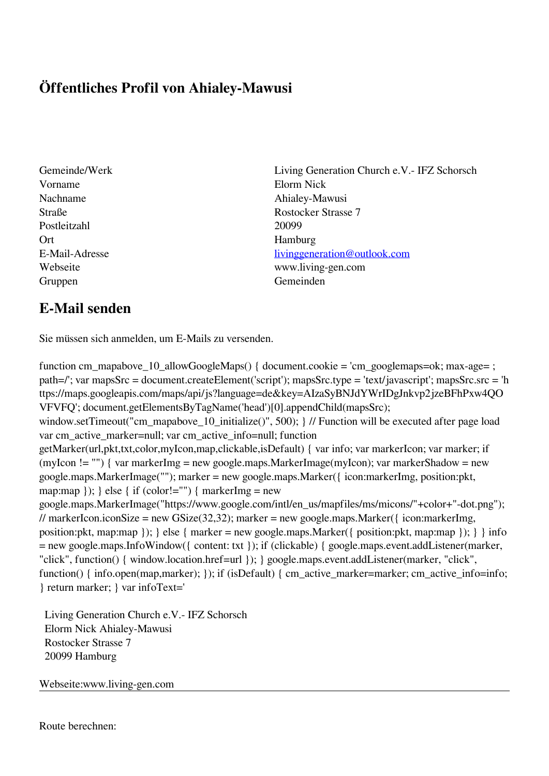## **Öffentliches Profil von Ahialey-Mawusi**

- Vorname Elorm Nick Nachname Ahialey-Mawusi Postleitzahl 20099 Ort Hamburg Gruppen Gemeinden Gemeinden Gemeinden Gemeinden Gemeinden Gemeinden Gemeinden Gemeinden Gemeinden Gemeinden G
- Gemeinde/Werk Living Generation Church e.V.- IFZ Schorsch Straße Rostocker Strasse 7 E-Mail-Adresse [livinggeneration@outlook.com](mailto:livinggeneration@outlook.com) Webseite www.living-gen.com

## **E-Mail senden**

Sie müssen sich anmelden, um E-Mails zu versenden.

function cm\_mapabove\_10\_allowGoogleMaps() { document.cookie = 'cm\_googlemaps=ok; max-age= ; path=/'; var mapsSrc = document.createElement('script'); mapsSrc.type = 'text/javascript'; mapsSrc.src = 'h ttps://maps.googleapis.com/maps/api/js?language=de&key=AIzaSyBNJdYWrIDgJnkvp2jzeBFhPxw4QO VFVFQ'; document.getElementsByTagName('head')[0].appendChild(mapsSrc); window.setTimeout("cm\_mapabove\_10\_initialize()", 500); } // Function will be executed after page load var cm\_active\_marker=null; var cm\_active\_info=null; function getMarker(url,pkt,txt,color,myIcon,map,clickable,isDefault) { var info; var markerIcon; var marker; if (myIcon != "") { var markerImg = new google.maps.MarkerImage(myIcon); var markerShadow = new google.maps.MarkerImage(""); marker = new google.maps.Marker({ icon:markerImg, position:pkt, map:map  $\}$ ;  $\}$  else  $\{$  if (color!="")  $\{$  markerImg = new google.maps.MarkerImage("https://www.google.com/intl/en\_us/mapfiles/ms/micons/"+color+"-dot.png"); // markerIcon.iconSize = new GSize(32,32); marker = new google.maps.Marker({ $\epsilon$  icon:markerImg, position:pkt, map:map  $\}$ ;  $\}$  else  $\{$  marker = new google.maps.Marker $(\{$  position:pkt, map:map  $\})$ ;  $\}$  info = new google.maps.InfoWindow({ content: txt }); if (clickable) { google.maps.event.addListener(marker, "click", function() { window.location.href=url }); } google.maps.event.addListener(marker, "click", function() { info.open(map,marker); }); if (isDefault) { cm\_active\_marker=marker; cm\_active\_info=info; } return marker; } var infoText='

 Living Generation Church e.V.- IFZ Schorsch Elorm Nick Ahialey-Mawusi Rostocker Strasse 7 20099 Hamburg

Webseite:www.living-gen.com

Route berechnen: